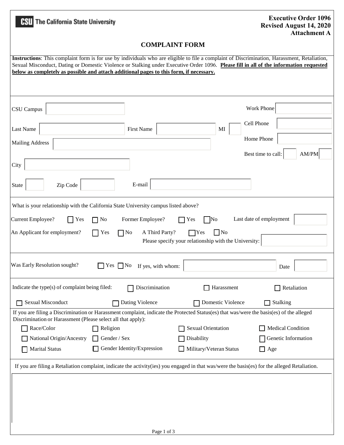| <b>HSU</b> The California State University                                                                                                                                                                                                                                                                                                                                        | <b>Executive Order 1096</b><br><b>Revised August 14, 2020</b><br><b>Attachment A</b> |  |  |  |
|-----------------------------------------------------------------------------------------------------------------------------------------------------------------------------------------------------------------------------------------------------------------------------------------------------------------------------------------------------------------------------------|--------------------------------------------------------------------------------------|--|--|--|
| <b>COMPLAINT FORM</b>                                                                                                                                                                                                                                                                                                                                                             |                                                                                      |  |  |  |
| Instructions: This complaint form is for use by individuals who are eligible to file a complaint of Discrimination, Harassment, Retaliation,<br>Sexual Misconduct, Dating or Domestic Violence or Stalking under Executive Order 1096. Please fill in all of the information requested<br>below as completely as possible and attach additional pages to this form, if necessary. |                                                                                      |  |  |  |
| CSU Campus                                                                                                                                                                                                                                                                                                                                                                        | Work Phone                                                                           |  |  |  |
| Last Name<br><b>First Name</b>                                                                                                                                                                                                                                                                                                                                                    | Cell Phone<br>MI                                                                     |  |  |  |
| <b>Mailing Address</b>                                                                                                                                                                                                                                                                                                                                                            | Home Phone                                                                           |  |  |  |
| City                                                                                                                                                                                                                                                                                                                                                                              | AM/PM<br>Best time to call:                                                          |  |  |  |
| E-mail<br>Zip Code<br>State                                                                                                                                                                                                                                                                                                                                                       |                                                                                      |  |  |  |
| What is your relationship with the California State University campus listed above?<br>Last date of employment<br>Current Employee?<br>Former Employee?<br>Yes<br>$\Box$ No<br>Yes<br>$\overline{\rm No}$<br>A Third Party?<br>$\Box$ No<br>An Applicant for employment?<br>$\Box$ No<br>$\gamma$<br>Yes<br>Please specify your relationship with the University:                 |                                                                                      |  |  |  |
| Was Early Resolution sought?<br>Yes $\Box$ No<br>If yes, with whom:                                                                                                                                                                                                                                                                                                               | Date                                                                                 |  |  |  |
| Indicate the type(s) of complaint being filed:<br>Discrimination                                                                                                                                                                                                                                                                                                                  | Harassment<br>Retaliation                                                            |  |  |  |
| Sexual Misconduct<br>Dating Violence                                                                                                                                                                                                                                                                                                                                              | Domestic Violence<br>Stalking<br>ΙI                                                  |  |  |  |
| If you are filing a Discrimination or Harassment complaint, indicate the Protected Status(es) that was/were the basis(es) of the alleged<br>Discrimination or Harassment (Please select all that apply):                                                                                                                                                                          |                                                                                      |  |  |  |
| Race/Color<br>Religion                                                                                                                                                                                                                                                                                                                                                            | <b>Sexual Orientation</b><br>Medical Condition                                       |  |  |  |
| National Origin/Ancestry<br>Gender / Sex                                                                                                                                                                                                                                                                                                                                          | Genetic Information<br>Disability                                                    |  |  |  |
| Gender Identity/Expression<br><b>Marital Status</b>                                                                                                                                                                                                                                                                                                                               | Military/Veteran Status<br>$\Box$ Age                                                |  |  |  |
| If you are filing a Retaliation complaint, indicate the activity(ies) you engaged in that was/were the basis(es) for the alleged Retaliation.                                                                                                                                                                                                                                     |                                                                                      |  |  |  |
|                                                                                                                                                                                                                                                                                                                                                                                   |                                                                                      |  |  |  |
| Page 1 of 3                                                                                                                                                                                                                                                                                                                                                                       |                                                                                      |  |  |  |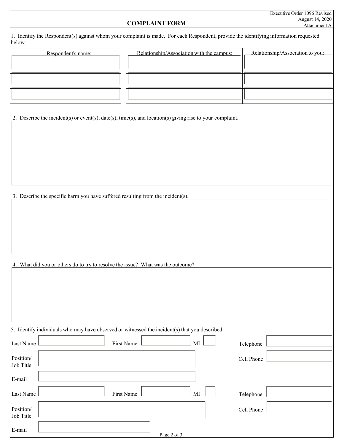| Executive Order 1096 Revised |
|------------------------------|
| August 14, 2020              |
| Attachment A                 |

## **COMPLAINT FORM**

|        | 1. Identify the Respondent(s) against whom your complaint is made. For each Respondent, provide the identifying information requested |
|--------|---------------------------------------------------------------------------------------------------------------------------------------|
| below. |                                                                                                                                       |

|                        | Respondent's name:                                                                                        | Relationship/Association with the campus: |          | Relationship/Association to you: |
|------------------------|-----------------------------------------------------------------------------------------------------------|-------------------------------------------|----------|----------------------------------|
|                        |                                                                                                           |                                           |          |                                  |
|                        |                                                                                                           |                                           |          |                                  |
|                        |                                                                                                           |                                           |          |                                  |
|                        |                                                                                                           |                                           |          |                                  |
|                        |                                                                                                           |                                           |          |                                  |
|                        |                                                                                                           |                                           |          |                                  |
|                        | 2. Describe the incident(s) or event(s), date(s), time(s), and location(s) giving rise to your complaint. |                                           |          |                                  |
|                        |                                                                                                           |                                           |          |                                  |
|                        |                                                                                                           |                                           |          |                                  |
|                        |                                                                                                           |                                           |          |                                  |
|                        |                                                                                                           |                                           |          |                                  |
|                        |                                                                                                           |                                           |          |                                  |
|                        |                                                                                                           |                                           |          |                                  |
|                        |                                                                                                           |                                           |          |                                  |
|                        |                                                                                                           |                                           |          |                                  |
|                        | 3. Describe the specific harm you have suffered resulting from the incident(s).                           |                                           |          |                                  |
|                        |                                                                                                           |                                           |          |                                  |
|                        |                                                                                                           |                                           |          |                                  |
|                        |                                                                                                           |                                           |          |                                  |
|                        |                                                                                                           |                                           |          |                                  |
|                        |                                                                                                           |                                           |          |                                  |
|                        |                                                                                                           |                                           |          |                                  |
|                        |                                                                                                           |                                           |          |                                  |
|                        | 4. What did you or others do to try to resolve the issue? What was the outcome?                           |                                           |          |                                  |
|                        |                                                                                                           |                                           |          |                                  |
|                        |                                                                                                           |                                           |          |                                  |
|                        |                                                                                                           |                                           |          |                                  |
|                        |                                                                                                           |                                           |          |                                  |
|                        |                                                                                                           |                                           |          |                                  |
|                        |                                                                                                           |                                           |          |                                  |
|                        |                                                                                                           |                                           |          |                                  |
|                        | 5. Identify individuals who may have observed or witnessed the incident(s) that you described.            |                                           |          |                                  |
|                        |                                                                                                           |                                           |          |                                  |
| Last Name              |                                                                                                           | First Name                                | $\rm MI$ | Telephone                        |
| Position/              |                                                                                                           |                                           |          | Cell Phone                       |
| Job Title              |                                                                                                           |                                           |          |                                  |
|                        |                                                                                                           |                                           |          |                                  |
| E-mail                 |                                                                                                           |                                           |          |                                  |
|                        |                                                                                                           |                                           |          |                                  |
| Last Name              |                                                                                                           | First Name                                | MI       | Telephone                        |
|                        |                                                                                                           |                                           |          |                                  |
| Position/<br>Job Title |                                                                                                           |                                           |          | Cell Phone                       |
|                        |                                                                                                           |                                           |          |                                  |
| E-mail                 |                                                                                                           |                                           |          |                                  |

Page 2 of 3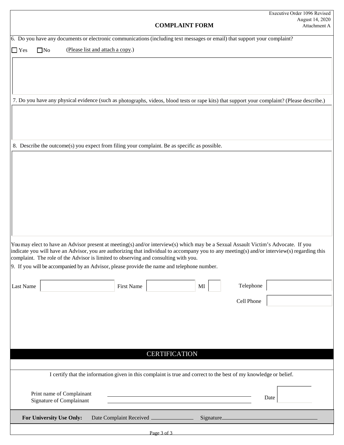| <b>COMPLAINT FORM</b>                                                                                                                                                                                                                                                                                                                                                                                                                                                   | Executive Order 1096 Revised<br>August 14, 2020<br>Attachment A |  |  |  |
|-------------------------------------------------------------------------------------------------------------------------------------------------------------------------------------------------------------------------------------------------------------------------------------------------------------------------------------------------------------------------------------------------------------------------------------------------------------------------|-----------------------------------------------------------------|--|--|--|
| 6. Do you have any documents or electronic communications (including text messages or email) that support your complaint?                                                                                                                                                                                                                                                                                                                                               |                                                                 |  |  |  |
| (Please list and attach a copy.)<br>$\square$ No<br>$\Box$ Yes                                                                                                                                                                                                                                                                                                                                                                                                          |                                                                 |  |  |  |
| 7. Do you have any physical evidence (such as photographs, videos, blood tests or rape kits) that support your complaint? (Please describe.)                                                                                                                                                                                                                                                                                                                            |                                                                 |  |  |  |
|                                                                                                                                                                                                                                                                                                                                                                                                                                                                         |                                                                 |  |  |  |
| 8. Describe the outcome(s) you expect from filing your complaint. Be as specific as possible.                                                                                                                                                                                                                                                                                                                                                                           |                                                                 |  |  |  |
| You may elect to have an Advisor present at meeting(s) and/or interview(s) which may be a Sexual Assault Victim's Advocate. If you<br>indicate you will have an Advisor, you are authorizing that individual to accompany you to any meeting(s) and/or interview(s) regarding this<br>complaint. The role of the Advisor is limited to observing and consulting with you.<br>9. If you will be accompanied by an Advisor, please provide the name and telephone number. |                                                                 |  |  |  |
| Telephone<br>Last Name<br>First Name<br>$\rm MI$                                                                                                                                                                                                                                                                                                                                                                                                                        |                                                                 |  |  |  |
| Cell Phone                                                                                                                                                                                                                                                                                                                                                                                                                                                              |                                                                 |  |  |  |
| <b>CERTIFICATION</b>                                                                                                                                                                                                                                                                                                                                                                                                                                                    |                                                                 |  |  |  |
|                                                                                                                                                                                                                                                                                                                                                                                                                                                                         |                                                                 |  |  |  |
| I certify that the information given in this complaint is true and correct to the best of my knowledge or belief.<br>Print name of Complainant<br>Date<br><b>Signature of Complainant</b>                                                                                                                                                                                                                                                                               |                                                                 |  |  |  |
| For University Use Only:<br>Date Complaint Received _____________                                                                                                                                                                                                                                                                                                                                                                                                       |                                                                 |  |  |  |
| Page 3 of 3                                                                                                                                                                                                                                                                                                                                                                                                                                                             |                                                                 |  |  |  |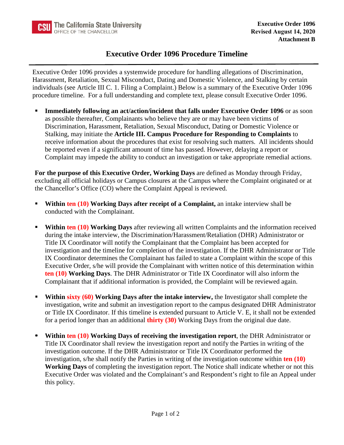## **Executive Order 1096 Procedure Timeline**

Executive Order 1096 provides a systemwide procedure for handling allegations of Discrimination, Harassment, Retaliation, Sexual Misconduct, Dating and Domestic Violence, and Stalking by certain individuals (see Article III C. 1. Filing a Complaint.) Below is a summary of the Executive Order 1096 procedure timeline. For a full understanding and complete text, please consult Executive Order 1096.

**Immediately following an act/action/incident that falls under Executive Order 1096** or as soon as possible thereafter, Complainants who believe they are or may have been victims of Discrimination, Harassment, Retaliation, Sexual Misconduct, Dating or Domestic Violence or Stalking, may initiate the **Article III. Campus Procedure for Responding to Complaints** to receive information about the procedures that exist for resolving such matters. All incidents should be reported even if a significant amount of time has passed. However, delaying a report or Complaint may impede the ability to conduct an investigation or take appropriate remedial actions.

**For the purpose of this Executive Order, Working Days** are defined as Monday through Friday, excluding all official holidays or Campus closures at the Campus where the Complaint originated or at the Chancellor's Office (CO) where the Complaint Appeal is reviewed.

- **Within ten (10) Working Days after receipt of a Complaint, an intake interview shall be** conducted with the Complainant.
- **Within ten (10) Working Days** after reviewing all written Complaints and the information received during the intake interview, the Discrimination/Harassment/Retaliation (DHR) Administrator or Title IX Coordinator will notify the Complainant that the Complaint has been accepted for investigation and the timeline for completion of the investigation. If the DHR Administrator or Title IX Coordinator determines the Complainant has failed to state a Complaint within the scope of this Executive Order, s/he will provide the Complainant with written notice of this determination within **ten (10) Working Days**. The DHR Administrator or Title IX Coordinator will also inform the Complainant that if additional information is provided, the Complaint will be reviewed again.
- **Within sixty (60) Working Days after the intake interview, the Investigator shall complete the** investigation, write and submit an investigation report to the campus designated DHR Administrator or Title IX Coordinator. If this timeline is extended pursuant to Article V. E, it shall not be extended for a period longer than an additional **thirty (30)** Working Days from the original due date.
- **Within ten (10) Working Days of receiving the investigation report**, the DHR Administrator or Title IX Coordinator shall review the investigation report and notify the Parties in writing of the investigation outcome. If the DHR Administrator or Title IX Coordinator performed the investigation, s/he shall notify the Parties in writing of the investigation outcome within **ten (10) Working Days** of completing the investigation report. The Notice shall indicate whether or not this Executive Order was violated and the Complainant's and Respondent's right to file an Appeal under this policy.